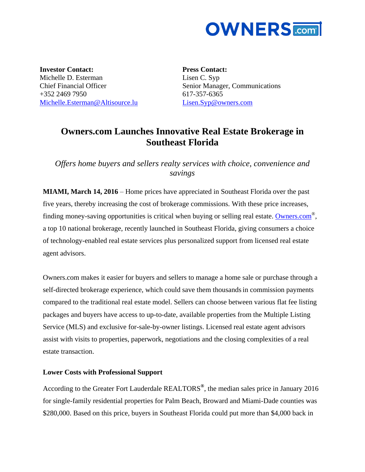

**Investor Contact:** Michelle D. Esterman Chief Financial Officer +352 2469 7950 [Michelle.Esterman@Altisource.lu](mailto:Michelle.Esterman@Altisource.lu) **Press Contact:** Lisen C. Syp Senior Manager, Communications 617-357-6365 [Lisen.Syp@owners.com](mailto:Lisen.Syp@owners.com)

## **Owners.com Launches Innovative Real Estate Brokerage in Southeast Florida**

*Offers home buyers and sellers realty services with choice, convenience and savings* 

**MIAMI, March 14, 2016** – Home prices have appreciated in Southeast Florida over the past five years, thereby increasing the cost of brokerage commissions. With these price increases, finding money-saving opportunities is critical when buying or selling real estate. **[Owners.com](http://www.owners.com/new/?utm_campaign=OwnersSFL&utm_source=PR&utm_medium=PR&utm_content=firstparagraph_link)**®, a top 10 national brokerage, recently launched in Southeast Florida, giving consumers a choice of technology-enabled real estate services plus personalized support from licensed real estate agent advisors.

[Owners.com](http://owners.com/) makes it easier for buyers and sellers to manage a home sale or purchase through a self-directed brokerage experience, which could save them thousands in commission payments compared to the traditional real estate model. Sellers can choose between various flat fee listing packages and buyers have access to up-to-date, available properties from the Multiple Listing Service (MLS) and exclusive for-sale-by-owner listings. Licensed real estate agent advisors assist with visits to properties, paperwork, negotiations and the closing complexities of a real estate transaction.

## **Lower Costs with Professional Support**

According to the Greater Fort Lauderdale REALTORS**®** , the median sales price in January 2016 for single-family residential properties for Palm Beach, Broward and Miami-Dade counties was \$280,000. Based on this price, buyers in Southeast Florida could put more than \$4,000 back in